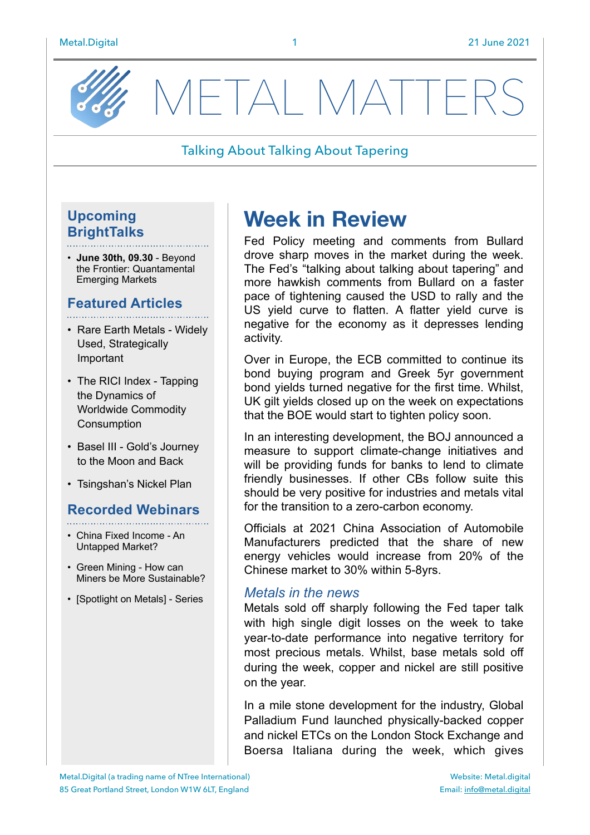

METAL MATTE

#### Talking About Talking About Tapering

## **Upcoming BrightTalks**

• **June 30th, 09.30** - Beyond the Frontier: Quantamental Emerging Markets

## **Featured Articles**

- Rare Earth Metals Widely Used, Strategically Important
- The RICI Index Tapping the Dynamics of Worldwide Commodity **Consumption**
- Basel III Gold's Journey to the Moon and Back
- Tsingshan's Nickel Plan

## **Recorded Webinars**

- China Fixed Income An Untapped Market?
- Green Mining How can Miners be More Sustainable?
- [Spotlight on Metals] Series

# **Week in Review**

Fed Policy meeting and comments from Bullard drove sharp moves in the market during the week. The Fed's "talking about talking about tapering" and more hawkish comments from Bullard on a faster pace of tightening caused the USD to rally and the US yield curve to flatten. A flatter yield curve is negative for the economy as it depresses lending activity.

Over in Europe, the ECB committed to continue its bond buying program and Greek 5yr government bond yields turned negative for the first time. Whilst, UK gilt yields closed up on the week on expectations that the BOE would start to tighten policy soon.

In an interesting development, the BOJ announced a measure to support climate-change initiatives and will be providing funds for banks to lend to climate friendly businesses. If other CBs follow suite this should be very positive for industries and metals vital for the transition to a zero-carbon economy.

Officials at 2021 China Association of Automobile Manufacturers predicted that the share of new energy vehicles would increase from 20% of the Chinese market to 30% within 5-8yrs.

#### *Metals in the news*

Metals sold off sharply following the Fed taper talk with high single digit losses on the week to take year-to-date performance into negative territory for most precious metals. Whilst, base metals sold off during the week, copper and nickel are still positive on the year.

In a mile stone development for the industry, Global Palladium Fund launched physically-backed copper and nickel ETCs on the London Stock Exchange and Boersa Italiana during the week, which gives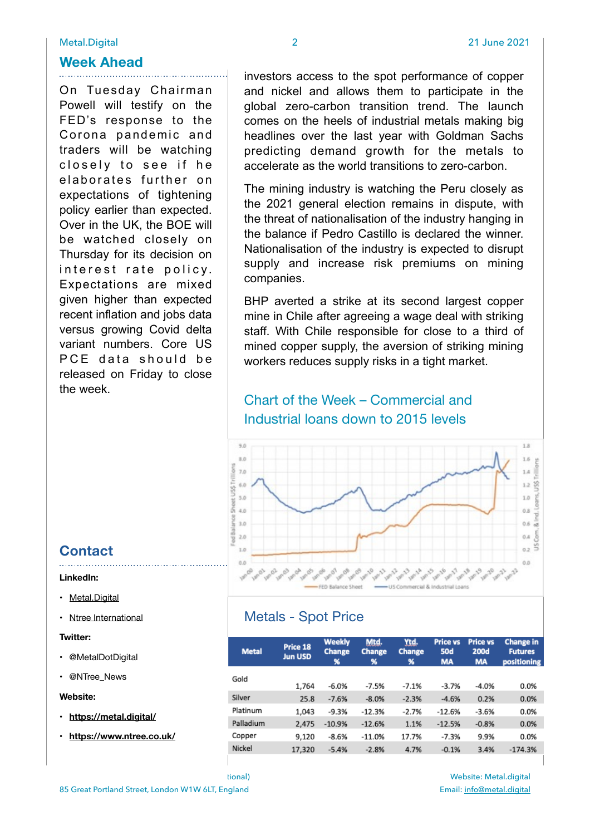#### **Week Ahead**

On Tuesday Chairman Powell will testify on the FED's response to the Corona pandemic and traders will be watching closely to see if he elaborates further on expectations of tightening policy earlier than expected. Over in the UK, the BOE will be watched closely on Thursday for its decision on interest rate policy. Expectations are mixed given higher than expected recent inflation and jobs data versus growing Covid delta variant numbers. Core US PCE data should be released on Friday to close the week.

investors access to the spot performance of copper and nickel and allows them to participate in the global zero-carbon transition trend. The launch comes on the heels of industrial metals making big headlines over the last year with Goldman Sachs predicting demand growth for the metals to accelerate as the world transitions to zero-carbon.

The mining industry is watching the Peru closely as the 2021 general election remains in dispute, with the threat of nationalisation of the industry hanging in the balance if Pedro Castillo is declared the winner. Nationalisation of the industry is expected to disrupt supply and increase risk premiums on mining companies.

BHP averted a strike at its second largest copper mine in Chile after agreeing a wage deal with striking staff. With Chile responsible for close to a third of mined copper supply, the aversion of striking mining workers reduces supply risks in a tight market.

## Chart of the Week – Commercial and Industrial loans down to 2015 levels



## Metals - Spot Price

| <b>Metal</b> | Price 18<br><b>Jun USD</b> | <b>Weekly</b><br><b>Change</b><br>% | Mtd.<br><b>Change</b><br>% | Ytd.<br><b>Change</b><br>℁ | <b>Price vs</b><br><b>50d</b><br><b>MA</b> | <b>Price vs</b><br><b>200d</b><br><b>MA</b> | <b>Change in</b><br><b>Futures</b><br>positioning |
|--------------|----------------------------|-------------------------------------|----------------------------|----------------------------|--------------------------------------------|---------------------------------------------|---------------------------------------------------|
| Gold         |                            |                                     |                            |                            |                                            |                                             |                                                   |
|              | 1,764                      | $-6.0%$                             | $-7.5%$                    | $-7.1%$                    | $-3.7%$                                    | $-4.0%$                                     | 0.0%                                              |
| Silver       | 25.8                       | $-7.6%$                             | $-8.0%$                    | $-2.3%$                    | $-4.6%$                                    | 0.2%                                        | 0.0%                                              |
| Platinum     | 1,043                      | $-9.3%$                             | $-12.3%$                   | $-2.7%$                    | $-12.6%$                                   | $-3.6%$                                     | 0.0%                                              |
| Palladium    | 2,475                      | $-10.9%$                            | $-12.6%$                   | 1.1%                       | $-12.5%$                                   | $-0.8%$                                     | 0.0%                                              |
| Copper       | 9,120                      | $-8.6%$                             | $-11.0%$                   | 17.7%                      | $-7.3%$                                    | 9.9%                                        | 0.0%                                              |
| Nickel       | 17,320                     | $-5.4%$                             | $-2.8%$                    | 4.7%                       | $-0.1%$                                    | 3.4%                                        | $-174.3%$                                         |
|              |                            |                                     |                            |                            |                                            |                                             |                                                   |

**Contact** 

- **LinkedIn:**
- [Metal.Digital](https://www.linkedin.com/company/metal-digital/)
- Ntree International

#### **Twitter:**

• @MetalDotDigital

• @NTree\_News

#### **Website:**

- **• <https://metal.digital/>**
- **• <https://www.ntree.co.uk/>**

Website: Metal.digital Email: [info@metal.digital](mailto:info@metal.digital)

Metal.Digital (a trading name of NTree International) 85 Great Portland Street, London W1W 6LT, England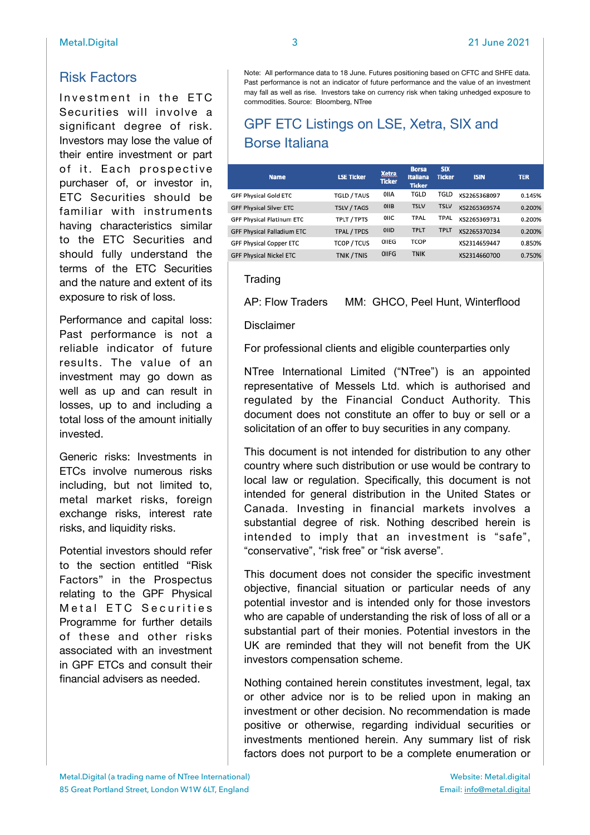## Risk Factors

Investment in the ETC Securities will involve a significant degree of risk. Investors may lose the value of their entire investment or part of it. Each prospective purchaser of, or investor in, ETC Securities should be familiar with instruments having characteristics similar to the ETC Securities and should fully understand the terms of the ETC Securities and the nature and extent of its exposure to risk of loss.

Performance and capital loss: Past performance is not a reliable indicator of future results. The value of an investment may go down as well as up and can result in losses, up to and including a total loss of the amount initially invested.

Generic risks: Investments in ETCs involve numerous risks including, but not limited to, metal market risks, foreign exchange risks, interest rate risks, and liquidity risks.

Potential investors should refer to the section entitled "Risk Factors" in the Prospectus relating to the GPF Physical Metal ETC Securities Programme for further details of these and other risks associated with an investment in GPF ETCs and consult their financial advisers as needed.

Note: All performance data to 18 June. Futures positioning based on CFTC and SHFE data. Past performance is not an indicator of future performance and the value of an investment

## GPF ETC Listings on LSE, Xetra, SIX and Borse Italiana

may fall as well as rise. Investors take on currency risk when taking unhedged exposure to

| <b>Name</b>                    | <b>LSE Ticker</b>  | <b>Xetra</b><br><b>Ticker</b> | <b>Borsa</b><br><b>Italiana</b><br><b>Ticker</b> | <b>SIX</b><br><b>Ticker</b> | <b>ISIN</b>  | <b>TER</b> |
|--------------------------------|--------------------|-------------------------------|--------------------------------------------------|-----------------------------|--------------|------------|
| GPF Physical Gold ETC          | TGLD / TAUS        | OIIA                          | TGLD                                             | TGLD                        | XS2265368097 | 0.145%     |
| <b>GPF Physical Silver ETC</b> | <b>TSLV / TAGS</b> | OIIB                          | <b>TSLV</b>                                      | <b>TSLV</b>                 | XS2265369574 | 0.200%     |
| GPF Physical Platinum ETC      | TPLT / TPTS        | OIIC                          | TPAL                                             | TPAL                        | XS2265369731 | 0.200%     |
| GPF Physical Palladium ETC     | TPAL / TPDS        | OIID                          | <b>TPLT</b>                                      | <b>TPLT</b>                 | XS2265370234 | 0.200%     |
| GPF Physical Copper ETC        | <b>TCOP / TCUS</b> | OIIEG                         | <b>TCOP</b>                                      |                             | XS2314659447 | 0.850%     |
| <b>GPF Physical Nickel ETC</b> | TNIK / TNIS        | OIIFG                         | <b>TNIK</b>                                      |                             | XS2314660700 | 0.750%     |

#### **Trading**

AP: Flow Traders MM: GHCO, Peel Hunt, Winterflood

#### Disclaimer

For professional clients and eligible counterparties only

NTree International Limited ("NTree") is an appointed representative of Messels Ltd. which is authorised and regulated by the Financial Conduct Authority. This document does not constitute an offer to buy or sell or a solicitation of an offer to buy securities in any company.

This document is not intended for distribution to any other country where such distribution or use would be contrary to local law or regulation. Specifically, this document is not intended for general distribution in the United States or Canada. Investing in financial markets involves a substantial degree of risk. Nothing described herein is intended to imply that an investment is "safe", "conservative", "risk free" or "risk averse".

This document does not consider the specific investment objective, financial situation or particular needs of any potential investor and is intended only for those investors who are capable of understanding the risk of loss of all or a substantial part of their monies. Potential investors in the UK are reminded that they will not benefit from the UK investors compensation scheme.

Nothing contained herein constitutes investment, legal, tax or other advice nor is to be relied upon in making an investment or other decision. No recommendation is made positive or otherwise, regarding individual securities or investments mentioned herein. Any summary list of risk factors does not purport to be a complete enumeration or

commodities. Source: Bloomberg, NTree